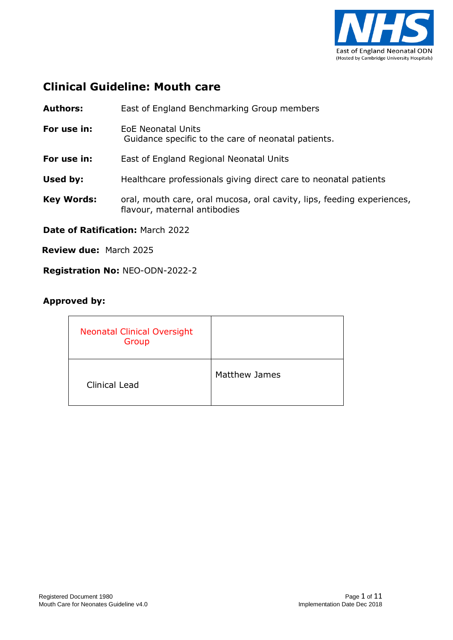

### **Clinical Guideline: Mouth care**

**Authors:** East of England Benchmarking Group members **For use in:** EoE Neonatal Units Guidance specific to the care of neonatal patients. **For use in:** East of England Regional Neonatal Units **Used by:** Healthcare professionals giving direct care to neonatal patients **Key Words:** oral, mouth care, oral mucosa, oral cavity, lips, feeding experiences, flavour, maternal antibodies

**Date of Ratification:** March 2022

**Review due:** March 2025

**Registration No:** NEO-ODN-2022-2

#### **Approved by:**

| <b>Neonatal Clinical Oversight</b><br>Group |                      |
|---------------------------------------------|----------------------|
| <b>Clinical Lead</b>                        | <b>Matthew James</b> |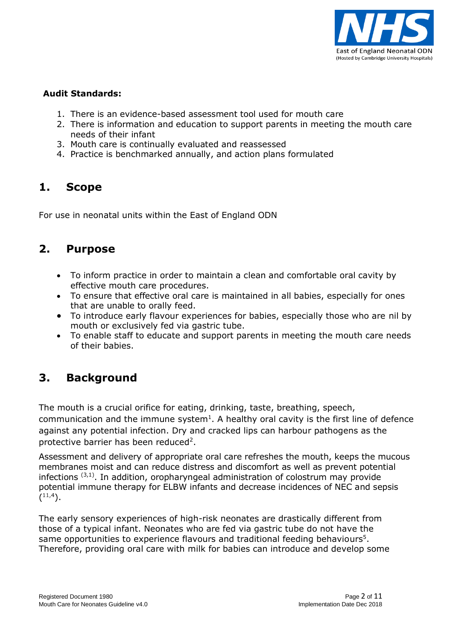

#### **Audit Standards:**

- 1. There is an evidence-based assessment tool used for mouth care
- 2. There is information and education to support parents in meeting the mouth care needs of their infant
- 3. Mouth care is continually evaluated and reassessed
- 4. Practice is benchmarked annually, and action plans formulated

### **1. Scope**

For use in neonatal units within the East of England ODN

### **2. Purpose**

- To inform practice in order to maintain a clean and comfortable oral cavity by effective mouth care procedures.
- To ensure that effective oral care is maintained in all babies, especially for ones that are unable to orally feed.
- To introduce early flavour experiences for babies, especially those who are nil by mouth or exclusively fed via gastric tube.
- To enable staff to educate and support parents in meeting the mouth care needs of their babies.

## **3. Background**

The mouth is a crucial orifice for eating, drinking, taste, breathing, speech, communication and the immune system<sup>1</sup>. A healthy oral cavity is the first line of defence against any potential infection. Dry and cracked lips can harbour pathogens as the protective barrier has been reduced<sup>2</sup>.

Assessment and delivery of appropriate oral care refreshes the mouth, keeps the mucous membranes moist and can reduce distress and discomfort as well as prevent potential infections  $(3,1)$ . In addition, oropharyngeal administration of colostrum may provide potential immune therapy for ELBW infants and decrease incidences of NEC and sepsis  $(11,4)$ .

The early sensory experiences of high-risk neonates are drastically different from those of a typical infant. Neonates who are fed via gastric tube do not have the same opportunities to experience flavours and traditional feeding behaviours<sup>5</sup>. Therefore, providing oral care with milk for babies can introduce and develop some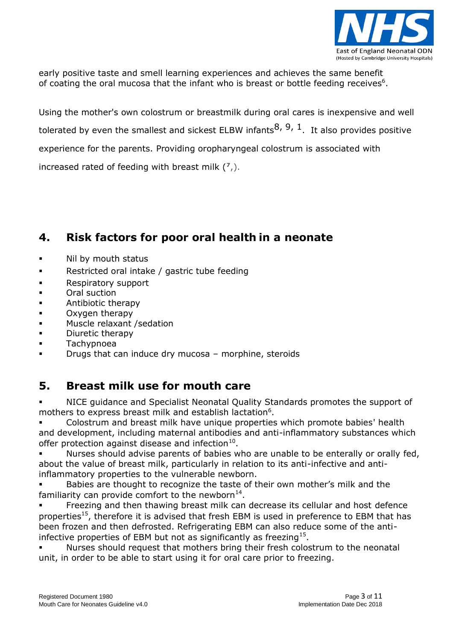

early positive taste and smell learning experiences and achieves the same benefit of coating the oral mucosa that the infant who is breast or bottle feeding receives $6$ .

Using the mother's own colostrum or breastmilk during oral cares is inexpensive and well tolerated by even the smallest and sickest ELBW infants $^{8, 9, 1}$ . It also provides positive experience for the parents. Providing oropharyngeal colostrum is associated with increased rated of feeding with breast milk (**<sup>7</sup>** ,).

## **4. Risk factors for poor oral health in a neonate**

- Nil by mouth status
- Restricted oral intake / gastric tube feeding
- **Respiratory support**
- Oral suction
- Antibiotic therapy
- **C** Oxygen therapy
- **Muscle relaxant /sedation**
- Diuretic therapy
- Tachypnoea
- Drugs that can induce dry mucosa morphine, steroids

### **5. Breast milk use for mouth care**

 NICE guidance and Specialist Neonatal Quality Standards promotes the support of mothers to express breast milk and establish lactation<sup>6</sup>.

 Colostrum and breast milk have unique properties which promote babies' health and development, including maternal antibodies and anti-inflammatory substances which offer protection against disease and infection $^{10}$ .

 Nurses should advise parents of babies who are unable to be enterally or orally fed, about the value of breast milk, particularly in relation to its anti-infective and antiinflammatory properties to the vulnerable newborn.

 Babies are thought to recognize the taste of their own mother's milk and the familiarity can provide comfort to the newborn $^{14}$ .

 Freezing and then thawing breast milk can decrease its cellular and host defence properties<sup>15</sup>, therefore it is advised that fresh EBM is used in preference to EBM that has been frozen and then defrosted. Refrigerating EBM can also reduce some of the antiinfective properties of EBM but not as significantly as freezing<sup>15</sup>.

 Nurses should request that mothers bring their fresh colostrum to the neonatal unit, in order to be able to start using it for oral care prior to freezing.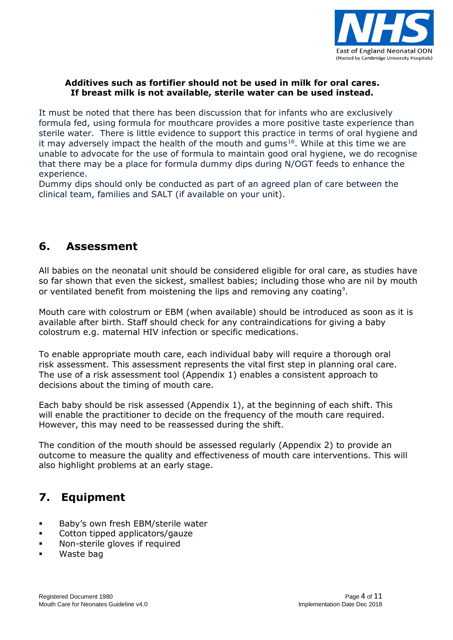

#### **Additives such as fortifier should not be used in milk for oral cares. If breast milk is not available, sterile water can be used instead.**

It must be noted that there has been discussion that for infants who are exclusively formula fed, using formula for mouthcare provides a more positive taste experience than sterile water. There is little evidence to support this practice in terms of oral hygiene and it may adversely impact the health of the mouth and gums<sup>16</sup>. While at this time we are unable to advocate for the use of formula to maintain good oral hygiene, we do recognise that there may be a place for formula dummy dips during N/OGT feeds to enhance the experience.

Dummy dips should only be conducted as part of an agreed plan of care between the clinical team, families and SALT (if available on your unit).

### **6. Assessment**

All babies on the neonatal unit should be considered eligible for oral care, as studies have so far shown that even the sickest, smallest babies; including those who are nil by mouth or ventilated benefit from moistening the lips and removing any coating<sup>9</sup>.

Mouth care with colostrum or EBM (when available) should be introduced as soon as it is available after birth. Staff should check for any contraindications for giving a baby colostrum e.g. maternal HIV infection or specific medications.

To enable appropriate mouth care, each individual baby will require a thorough oral risk assessment. This assessment represents the vital first step in planning oral care. The use of a risk assessment tool (Appendix 1) enables a consistent approach to decisions about the timing of mouth care.

Each baby should be risk assessed (Appendix 1), at the beginning of each shift. This will enable the practitioner to decide on the frequency of the mouth care required. However, this may need to be reassessed during the shift.

The condition of the mouth should be assessed regularly (Appendix 2) to provide an outcome to measure the quality and effectiveness of mouth care interventions. This will also highlight problems at an early stage.

# **7. Equipment**

- **Baby's own fresh EBM/sterile water**
- Cotton tipped applicators/gauze
- **Non-sterile gloves if required**
- Waste bag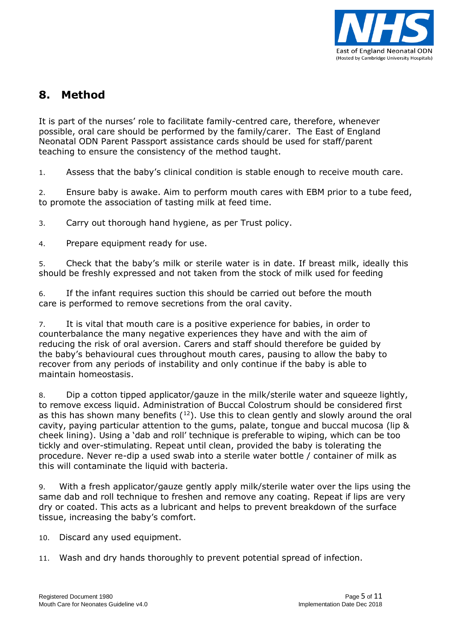

## **8. Method**

It is part of the nurses' role to facilitate family-centred care, therefore, whenever possible, oral care should be performed by the family/carer. The East of England Neonatal ODN Parent Passport assistance cards should be used for staff/parent teaching to ensure the consistency of the method taught.

1. Assess that the baby's clinical condition is stable enough to receive mouth care.

2. Ensure baby is awake. Aim to perform mouth cares with EBM prior to a tube feed, to promote the association of tasting milk at feed time.

3. Carry out thorough hand hygiene, as per Trust policy.

4. Prepare equipment ready for use.

5. Check that the baby's milk or sterile water is in date. If breast milk, ideally this should be freshly expressed and not taken from the stock of milk used for feeding

6. If the infant requires suction this should be carried out before the mouth care is performed to remove secretions from the oral cavity.

7. It is vital that mouth care is a positive experience for babies, in order to counterbalance the many negative experiences they have and with the aim of reducing the risk of oral aversion. Carers and staff should therefore be guided by the baby's behavioural cues throughout mouth cares, pausing to allow the baby to recover from any periods of instability and only continue if the baby is able to maintain homeostasis.

8. Dip a cotton tipped applicator/gauze in the milk/sterile water and squeeze lightly, to remove excess liquid. Administration of Buccal Colostrum should be considered first as this has shown many benefits  $(12)$ . Use this to clean gently and slowly around the oral cavity, paying particular attention to the gums, palate, tongue and buccal mucosa (lip & cheek lining). Using a 'dab and roll' technique is preferable to wiping, which can be too tickly and over-stimulating. Repeat until clean, provided the baby is tolerating the procedure. Never re-dip a used swab into a sterile water bottle / container of milk as this will contaminate the liquid with bacteria.

9. With a fresh applicator/gauze gently apply milk/sterile water over the lips using the same dab and roll technique to freshen and remove any coating. Repeat if lips are very dry or coated. This acts as a lubricant and helps to prevent breakdown of the surface tissue, increasing the baby's comfort.

- 10. Discard any used equipment.
- 11. Wash and dry hands thoroughly to prevent potential spread of infection.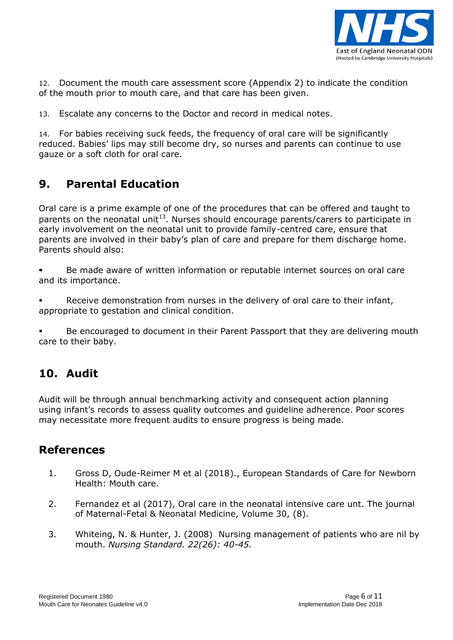

12. Document the mouth care assessment score (Appendix 2) to indicate the condition of the mouth prior to mouth care, and that care has been given.

13. Escalate any concerns to the Doctor and record in medical notes.

14. For babies receiving suck feeds, the frequency of oral care will be significantly reduced. Babies' lips may still become dry, so nurses and parents can continue to use gauze or a soft cloth for oral care.

### **9. Parental Education**

Oral care is a prime example of one of the procedures that can be offered and taught to parents on the neonatal unit<sup>13</sup>. Nurses should encourage parents/carers to participate in early involvement on the neonatal unit to provide family-centred care, ensure that parents are involved in their baby's plan of care and prepare for them discharge home. Parents should also:

- Be made aware of written information or reputable internet sources on oral care and its importance.
- Receive demonstration from nurses in the delivery of oral care to their infant, appropriate to gestation and clinical condition.

 Be encouraged to document in their Parent Passport that they are delivering mouth care to their baby.

## **10. Audit**

Audit will be through annual benchmarking activity and consequent action planning using infant's records to assess quality outcomes and guideline adherence. Poor scores may necessitate more frequent audits to ensure progress is being made.

### **References**

- 1. Gross D, Oude-Reimer M et al (2018)., European Standards of Care for Newborn Health: Mouth care.
- 2. Fernandez et al (2017), Oral care in the neonatal intensive care unt. The journal of Maternal-Fetal & Neonatal Medicine, Volume 30, (8).
- 3. Whiteing, N. & Hunter, J. (2008) Nursing management of patients who are nil by mouth. *Nursing Standard. 22(26): 40-45.*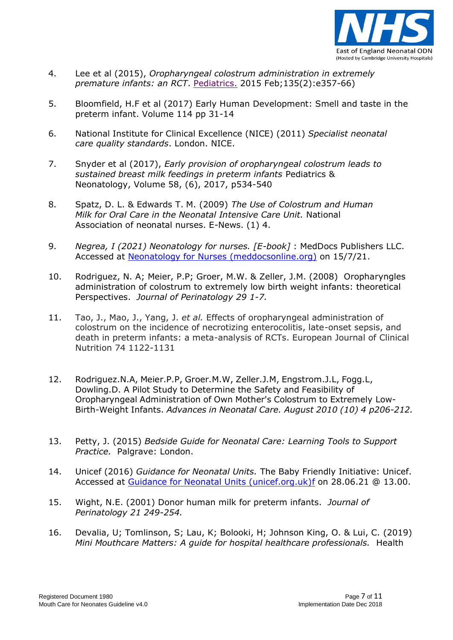

- 4. Lee et al (2015), *Oropharyngeal colostrum administration in extremely premature infants: an RCT*. [Pediatrics.](https://www.ncbi.nlm.nih.gov/pubmed/25624376) 2015 Feb;135(2):e357-66)
- 5. Bloomfield, H.F et al (2017) Early Human Development: Smell and taste in the preterm infant. Volume 114 pp 31-14
- 6. National Institute for Clinical Excellence (NICE) (2011) *Specialist neonatal care quality standards*. London. NICE.
- 7. Snyder et al (2017), *Early provision of oropharyngeal colostrum leads to sustained breast milk feedings in preterm infants* [Pediatrics &](https://www.sciencedirect.com/science/journal/18759572)  [Neonatology,](https://www.sciencedirect.com/science/journal/18759572) [Volume 58, \(6\),](https://www.sciencedirect.com/science/journal/18759572/58/6) 2017, p534-540
- 8. Spatz, D. L. & Edwards T. M. (2009) *The Use of Colostrum and Human Milk for Oral Care in the Neonatal Intensive Care Unit.* National Association of neonatal nurses. E-News. (1) 4.
- 9. *Negrea, I (2021) Neonatology for nurses. [E-book]* : MedDocs Publishers LLC. Accessed at [Neonatology for Nurses \(meddocsonline.org\)](https://meddocsonline.org/ebooks/neonatology-for-nurses.pdf) on 15/7/21.
- 10. Rodriguez, N. A; Meier, P.P; Groer, M.W. & Zeller, J.M. (2008) Oropharyngles administration of colostrum to extremely low birth weight infants: theoretical Perspectives. *Journal of Perinatology 29 1-7.*
- 11. Tao, J., Mao, J., Yang, J. *et al.* Effects of oropharyngeal administration of colostrum on the incidence of necrotizing enterocolitis, late-onset sepsis, and death in preterm infants: a meta-analysis of RCTs. European Journal of Clinical Nutrition 74 1122-1131
- 12. Rodriguez.N.A, Meier.P.P, Groer.M.W, Zeller.J.M, Engstrom.J.L, Fogg.L, Dowling.D. A Pilot Study to Determine the Safety and Feasibility of Oropharyngeal Administration of Own Mother's Colostrum to Extremely Low-Birth-Weight Infants. *Advances in Neonatal Care. August 2010 (10) 4 p206-212.*
- 13. Petty, J. (2015) *Bedside Guide for Neonatal Care: Learning Tools to Support Practice.* Palgrave: London.
- 14. Unicef (2016) *Guidance for Neonatal Units.* The Baby Friendly Initiative: Unicef. Accessed at [Guidance for Neonatal Units \(unicef.org.uk\)](https://www.unicef.org.uk/babyfriendly/wp-content/uploads/sites/2/2015/12/Guidance-for-neonatal-units.pdf)[f](http://www.unicef.org.uk/babyfriendly/wp-content/uploads/sites/2/2015/12/Guidance-for-neonatal-units.pdf) on 28.06.21 @ 13.00.
- 15. Wight, N.E. (2001) Donor human milk for preterm infants. *Journal of Perinatology 21 249-254.*
- 16. Devalia, U; Tomlinson, S; Lau, K; Bolooki, H; Johnson King, O. & Lui, C. (2019) *Mini Mouthcare Matters: A guide for hospital healthcare professionals.* Health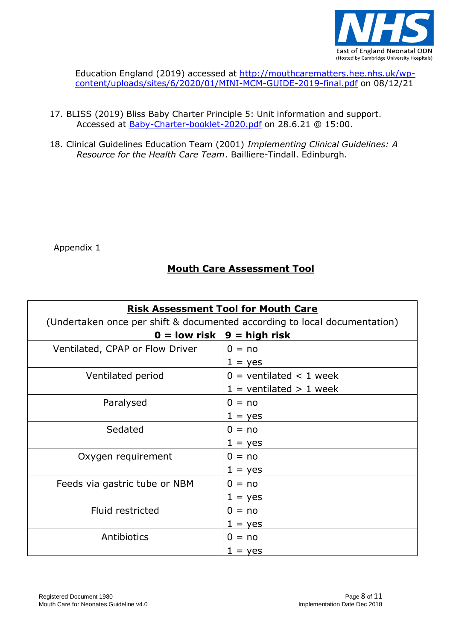

Education England (2019) accessed at [http://mouthcarematters.hee.nhs.uk/wp](http://mouthcarematters.hee.nhs.uk/wp-content/uploads/sites/6/2020/01/MINI-MCM-GUIDE-2019-final.pdf)[content/uploads/sites/6/2020/01/MINI-MCM-GUIDE-2019-final.pdf](http://mouthcarematters.hee.nhs.uk/wp-content/uploads/sites/6/2020/01/MINI-MCM-GUIDE-2019-final.pdf) on 08/12/21

- 17. BLISS (2019) Bliss Baby Charter Principle 5: Unit information and support. Accessed at [Baby-Charter-booklet-2020.pdf](https://s3.eu-west-2.amazonaws.com/files.bliss.org.uk/images/Baby-Charter-booklet-2020.pdf?mtime=20210104142806&focal=none) on 28.6.21 @ 15:00.
- 18. Clinical Guidelines Education Team (2001) *Implementing Clinical Guidelines: A Resource for the Health Care Team*. Bailliere-Tindall. Edinburgh.

Appendix 1

### **Mouth Care Assessment Tool**

| <b>Risk Assessment Tool for Mouth Care</b>                                |                             |  |
|---------------------------------------------------------------------------|-----------------------------|--|
| (Undertaken once per shift & documented according to local documentation) |                             |  |
| $0 =$ low risk $9 =$ high risk                                            |                             |  |
| Ventilated, CPAP or Flow Driver                                           | $0 = no$                    |  |
|                                                                           | $1 = yes$                   |  |
| Ventilated period                                                         | $0 =$ ventilated < 1 week   |  |
|                                                                           | $1 =$ ventilated $> 1$ week |  |
| Paralysed                                                                 | $0 = no$                    |  |
|                                                                           | $1 = yes$                   |  |
| Sedated                                                                   | $0 = no$                    |  |
|                                                                           | $1 = yes$                   |  |
| Oxygen requirement                                                        | $0 = no$                    |  |
|                                                                           | $1 = yes$                   |  |
| Feeds via gastric tube or NBM                                             | $0 = no$                    |  |
|                                                                           | $1 = yes$                   |  |
| Fluid restricted                                                          | $0 = no$                    |  |
|                                                                           | $1 = yes$                   |  |
| Antibiotics                                                               | $0 = no$                    |  |
|                                                                           | $1 = yes$                   |  |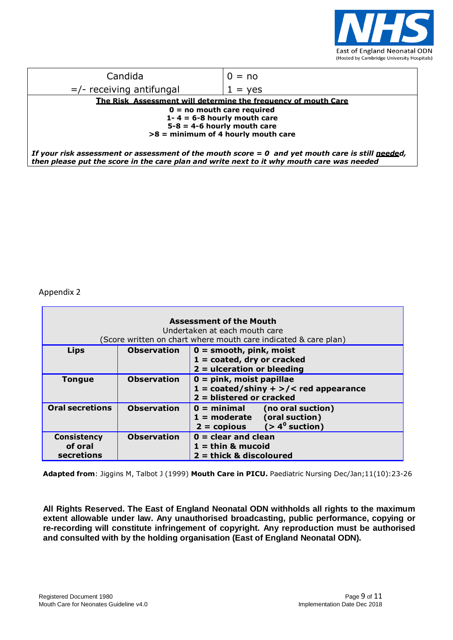

| Candida                                                                                            | $0 = no$  |  |
|----------------------------------------------------------------------------------------------------|-----------|--|
| $=$ /- receiving antifungal                                                                        | $1 = ves$ |  |
| <u>The Risk Assessment will determine the frequency of mouth Care</u>                              |           |  |
| $0 = no$ mouth care required                                                                       |           |  |
| 1-4 = $6-8$ hourly mouth care                                                                      |           |  |
| $5-8 = 4-6$ hourly mouth care                                                                      |           |  |
| $>8$ = minimum of 4 hourly mouth care                                                              |           |  |
|                                                                                                    |           |  |
| If your risk assessment or assessment of the mouth score $= 0$ and yet mouth care is still needed, |           |  |

*then please put the score in the care plan and write next to it why mouth care was needed*

Appendix 2

 $\blacksquare$ 

| <b>Assessment of the Mouth</b><br>Undertaken at each mouth care<br>(Score written on chart where mouth care indicated & care plan) |                    |                                                                                      |
|------------------------------------------------------------------------------------------------------------------------------------|--------------------|--------------------------------------------------------------------------------------|
| <b>Lips</b>                                                                                                                        | <b>Observation</b> | $0 =$ smooth, pink, moist<br>$1 = \text{coated}, \text{ dry or cracked}$             |
|                                                                                                                                    |                    | $2 =$ ulceration or bleeding                                                         |
| <b>Tongue</b>                                                                                                                      | <b>Observation</b> | $0 = pink$ , moist papillae                                                          |
|                                                                                                                                    |                    | $1 = \text{coated/shiny} + \frac{1}{5}$ red appearance<br>$2 = blistered$ or cracked |
| <b>Oral secretions</b>                                                                                                             | <b>Observation</b> | $0 = \text{minimal}$<br>(no oral suction)                                            |
|                                                                                                                                    |                    | $1 =$ moderate (oral suction)                                                        |
|                                                                                                                                    |                    | $2 = copious$ $( > 4^{\circ}$ suction)                                               |
| <b>Consistency</b>                                                                                                                 | <b>Observation</b> | $0 =$ clear and clean                                                                |
| of oral                                                                                                                            |                    | $1 =$ thin & mucoid                                                                  |
| secretions                                                                                                                         |                    | $2 =$ thick & discoloured                                                            |

**Adapted from**: Jiggins M, Talbot J (1999) **Mouth Care in PICU.** Paediatric Nursing Dec/Jan;11(10):23-26

**All Rights Reserved. The East of England Neonatal ODN withholds all rights to the maximum extent allowable under law. Any unauthorised broadcasting, public performance, copying or re-recording will constitute infringement of copyright. Any reproduction must be authorised and consulted with by the holding organisation (East of England Neonatal ODN).**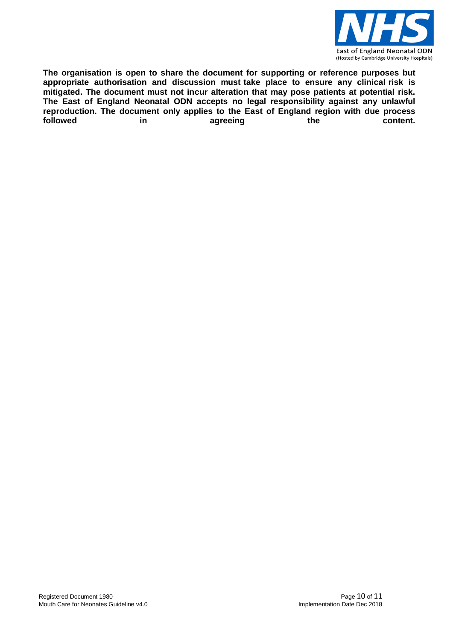

**The organisation is open to share the document for supporting or reference purposes but appropriate authorisation and discussion must take place to ensure any clinical risk is mitigated. The document must not incur alteration that may pose patients at potential risk. The East of England Neonatal ODN accepts no legal responsibility against any unlawful reproduction. The document only applies to the East of England region with due process followed in agreeing the content.**